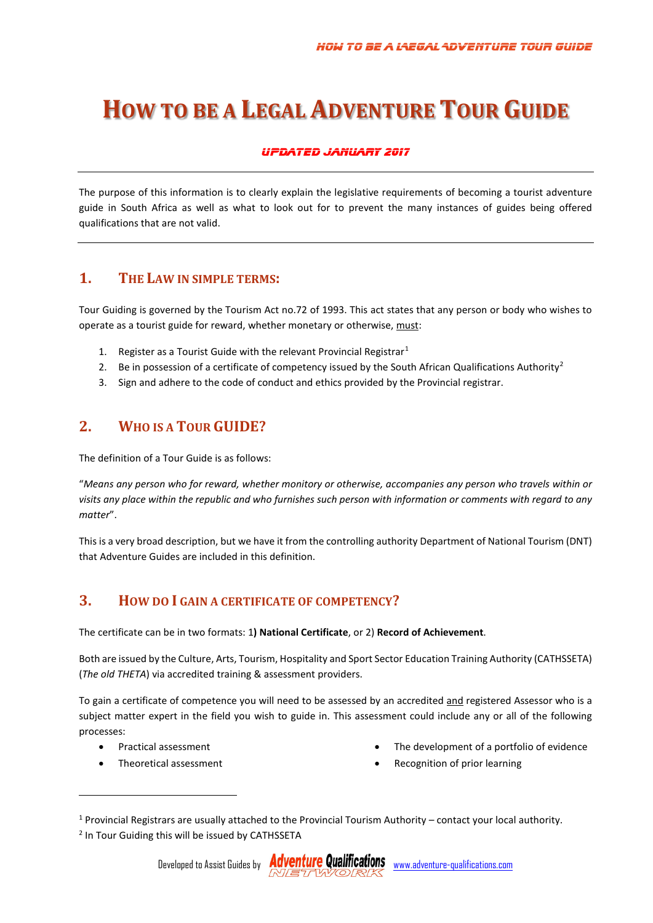# **HOW TO BE A LEGAL ADVENTURE TOUR GUIDE**

## Updated January 2017

The purpose of this information is to clearly explain the legislative requirements of becoming a tourist adventure guide in South Africa as well as what to look out for to prevent the many instances of guides being offered qualifications that are not valid.

# **1. THE LAW IN SIMPLE TERMS:**

Tour Guiding is governed by the Tourism Act no.72 of 1993. This act states that any person or body who wishes to operate as a tourist guide for reward, whether monetary or otherwise, must:

- [1](#page-0-0). Register as a Tourist Guide with the relevant Provincial Registrar<sup>1</sup>
- [2](#page-0-1). Be in possession of a certificate of competency issued by the South African Qualifications Authority<sup>2</sup>
- 3. Sign and adhere to the code of conduct and ethics provided by the Provincial registrar.

# **2. WHO IS A TOUR GUIDE?**

The definition of a Tour Guide is as follows:

"*Means any person who for reward, whether monitory or otherwise, accompanies any person who travels within or visits any place within the republic and who furnishes such person with information or comments with regard to any matter*".

This is a very broad description, but we have it from the controlling authority Department of National Tourism (DNT) that Adventure Guides are included in this definition.

# **3. HOW DO I GAIN A CERTIFICATE OF COMPETENCY?**

The certificate can be in two formats: 1**) National Certificate**, or 2) **Record of Achievement**.

Both are issued by the Culture, Arts, Tourism, Hospitality and Sport Sector Education Training Authority (CATHSSETA) (*The old THETA*) via accredited training & assessment providers.

To gain a certificate of competence you will need to be assessed by an accredited and registered Assessor who is a subject matter expert in the field you wish to guide in. This assessment could include any or all of the following processes:

• Practical assessment

**.** 

• Theoretical assessment

- The development of a portfolio of evidence
- Recognition of prior learning

Developed to Assist Guides by **Adventure Qualifications** [www.adventure-qualifications.com](http://www.adventure-qualifications.com/)

<span id="page-0-1"></span><span id="page-0-0"></span> $1$  Provincial Registrars are usually attached to the Provincial Tourism Authority – contact your local authority. <sup>2</sup> In Tour Guiding this will be issued by CATHSSETA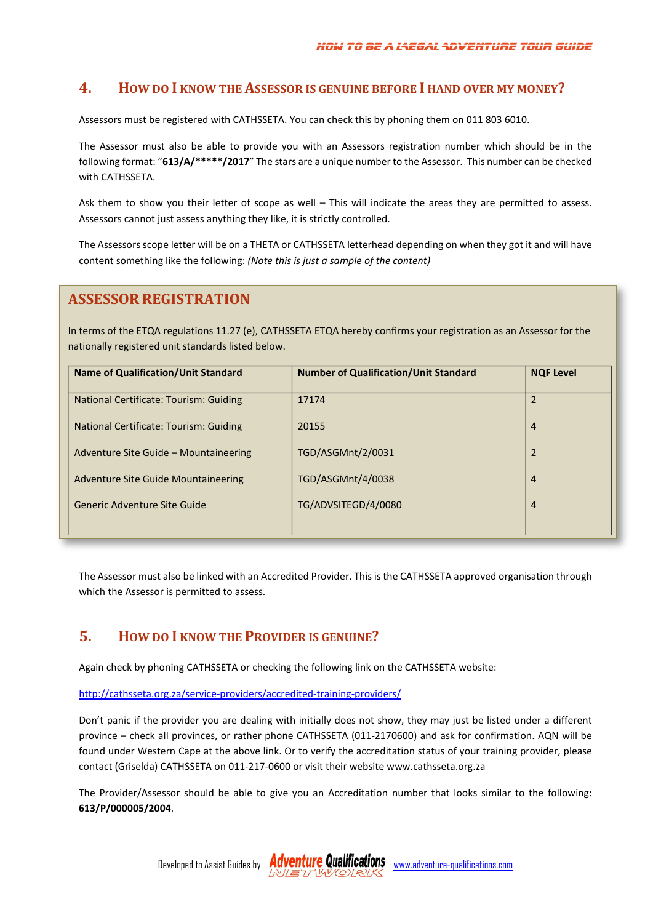## **4. HOW DO I KNOW THE ASSESSOR IS GENUINE BEFORE I HAND OVER MY MONEY?**

Assessors must be registered with CATHSSETA. You can check this by phoning them on 011 803 6010.

The Assessor must also be able to provide you with an Assessors registration number which should be in the following format: "**613/A/\*\*\*\*\*/2017**" The stars are a unique number to the Assessor. This number can be checked with CATHSSETA.

Ask them to show you their letter of scope as well – This will indicate the areas they are permitted to assess. Assessors cannot just assess anything they like, it is strictly controlled.

The Assessors scope letter will be on a THETA or CATHSSETA letterhead depending on when they got it and will have content something like the following: *(Note this is just a sample of the content)*

### **ASSESSOR REGISTRATION**

In terms of the ETQA regulations 11.27 (e), CATHSSETA ETQA hereby confirms your registration as an Assessor for the nationally registered unit standards listed below.

| Name of Qualification/Unit Standard        | <b>Number of Qualification/Unit Standard</b> | <b>NOF Level</b>         |
|--------------------------------------------|----------------------------------------------|--------------------------|
| National Certificate: Tourism: Guiding     | 17174                                        | $\overline{\phantom{a}}$ |
| National Certificate: Tourism: Guiding     | 20155                                        | 4                        |
| Adventure Site Guide – Mountaineering      | TGD/ASGMnt/2/0031                            | $\overline{2}$           |
| <b>Adventure Site Guide Mountaineering</b> | TGD/ASGMnt/4/0038                            | $\overline{4}$           |
| Generic Adventure Site Guide               | TG/ADVSITEGD/4/0080                          | $\overline{4}$           |
|                                            |                                              |                          |

The Assessor must also be linked with an Accredited Provider. This is the CATHSSETA approved organisation through which the Assessor is permitted to assess.

# **5. HOW DO I KNOW THE PROVIDER IS GENUINE?**

Again check by phoning CATHSSETA or checking the following link on the CATHSSETA website:

<http://cathsseta.org.za/service-providers/accredited-training-providers/>

Don't panic if the provider you are dealing with initially does not show, they may just be listed under a different province – check all provinces, or rather phone CATHSSETA (011-2170600) and ask for confirmation. AQN will be found under Western Cape at the above link. Or to verify the accreditation status of your training provider, please contact (Griselda) CATHSSETA on 011-217-0600 or visit their website www.cathsseta.org.za

The Provider/Assessor should be able to give you an Accreditation number that looks similar to the following: **613/P/000005/2004**.

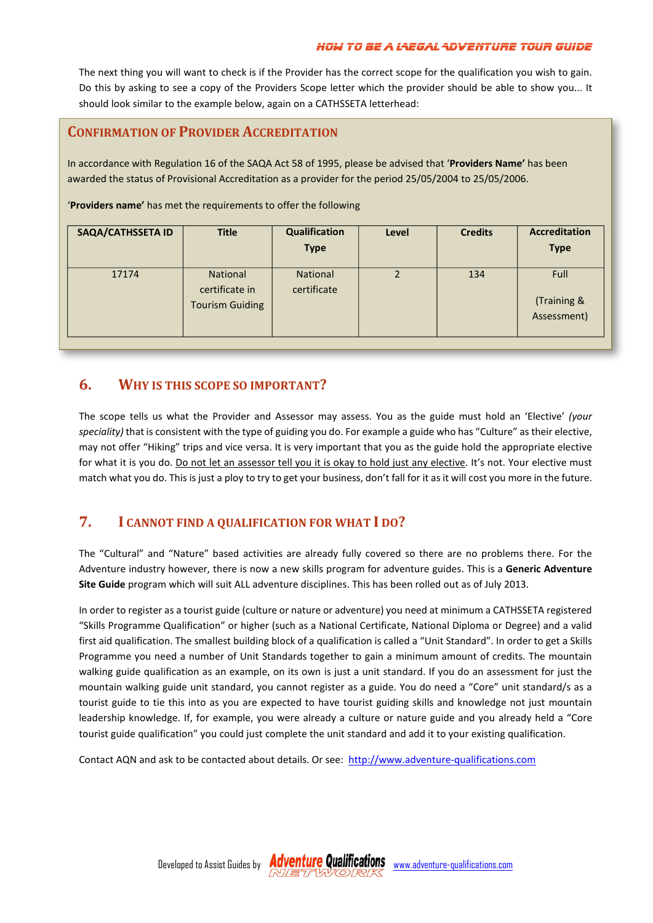#### How to be a Legal Adventure Tour Guide

The next thing you will want to check is if the Provider has the correct scope for the qualification you wish to gain. Do this by asking to see a copy of the Providers Scope letter which the provider should be able to show you... It should look similar to the example below, again on a CATHSSETA letterhead:

#### **CONFIRMATION OF PROVIDER ACCREDITATION**

In accordance with Regulation 16 of the SAQA Act 58 of 1995, please be advised that '**Providers Name'** has been awarded the status of Provisional Accreditation as a provider for the period 25/05/2004 to 25/05/2006.

'**Providers name'** has met the requirements to offer the following

| <b>SAQA/CATHSSETA ID</b> | <b>Title</b>                                         | <b>Qualification</b><br><b>Type</b> | Level          | <b>Credits</b> | <b>Accreditation</b><br><b>Type</b> |
|--------------------------|------------------------------------------------------|-------------------------------------|----------------|----------------|-------------------------------------|
| 17174                    | National<br>certificate in<br><b>Tourism Guiding</b> | <b>National</b><br>certificate      | $\overline{2}$ | 134            | Full<br>(Training &<br>Assessment)  |

## **6. WHY IS THIS SCOPE SO IMPORTANT?**

The scope tells us what the Provider and Assessor may assess. You as the guide must hold an 'Elective' *(your speciality)* that is consistent with the type of guiding you do. For example a guide who has "Culture" as their elective, may not offer "Hiking" trips and vice versa. It is very important that you as the guide hold the appropriate elective for what it is you do. Do not let an assessor tell you it is okay to hold just any elective. It's not. Your elective must match what you do. This is just a ploy to try to get your business, don't fall for it as it will cost you more in the future.

# **7. I CANNOT FIND A QUALIFICATION FOR WHAT I DO?**

The "Cultural" and "Nature" based activities are already fully covered so there are no problems there. For the Adventure industry however, there is now a new skills program for adventure guides. This is a **Generic Adventure Site Guide** program which will suit ALL adventure disciplines. This has been rolled out as of July 2013.

In order to register as a tourist guide (culture or nature or adventure) you need at minimum a CATHSSETA registered "Skills Programme Qualification" or higher (such as a National Certificate, National Diploma or Degree) and a valid first aid qualification. The smallest building block of a qualification is called a "Unit Standard". In order to get a Skills Programme you need a number of Unit Standards together to gain a minimum amount of credits. The mountain walking guide qualification as an example, on its own is just a unit standard. If you do an assessment for just the mountain walking guide unit standard, you cannot register as a guide. You do need a "Core" unit standard/s as a tourist guide to tie this into as you are expected to have tourist guiding skills and knowledge not just mountain leadership knowledge. If, for example, you were already a culture or nature guide and you already held a "Core tourist guide qualification" you could just complete the unit standard and add it to your existing qualification.

Contact AQN and ask to be contacted about details. Or see: [http://www.adventure-qualifications.com](http://www.adventure-qualifications.com/)

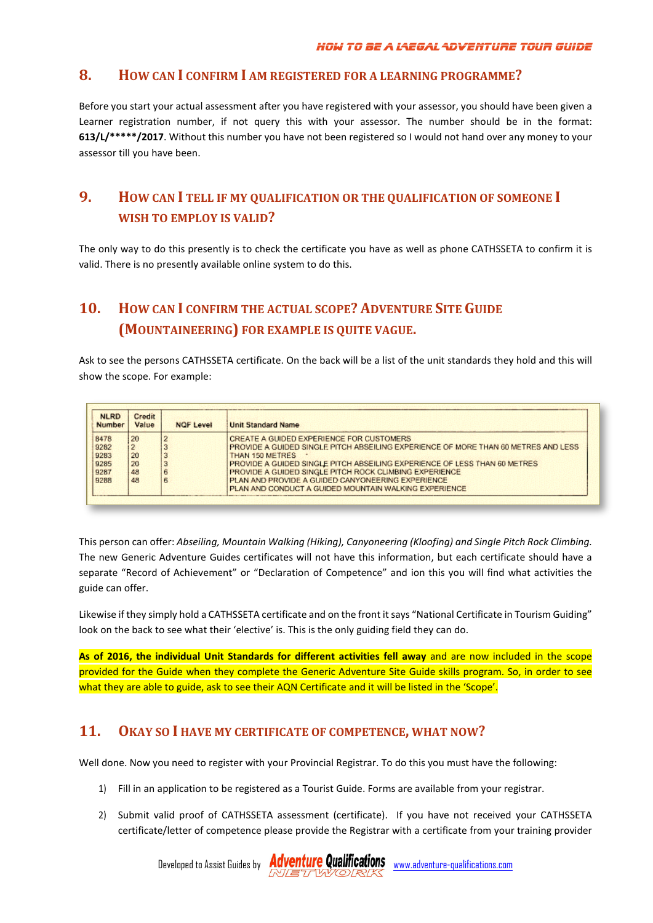#### **8. HOW CAN I CONFIRM I AM REGISTERED FOR A LEARNING PROGRAMME?**

Before you start your actual assessment after you have registered with your assessor, you should have been given a Learner registration number, if not query this with your assessor. The number should be in the format: **613/L/\*\*\*\*\*/2017**. Without this number you have not been registered so I would not hand over any money to your assessor till you have been.

# **9. HOW CAN I TELL IF MY QUALIFICATION OR THE QUALIFICATION OF SOMEONE I WISH TO EMPLOY IS VALID?**

The only way to do this presently is to check the certificate you have as well as phone CATHSSETA to confirm it is valid. There is no presently available online system to do this.

# **10. HOW CAN I CONFIRM THE ACTUAL SCOPE? ADVENTURE SITE GUIDE (MOUNTAINEERING) FOR EXAMPLE IS QUITE VAGUE.**

Ask to see the persons CATHSSETA certificate. On the back will be a list of the unit standards they hold and this will show the scope. For example:

| <b>NLRD</b><br><b>Number</b> | Credit<br>Value | <b>NOF Level</b> | <b>Unit Standard Name</b>                                                           |
|------------------------------|-----------------|------------------|-------------------------------------------------------------------------------------|
| 8478                         | 20              |                  | CREATE A GUIDED EXPERIENCE FOR CUSTOMERS.                                           |
| 9282                         |                 |                  | PROVIDE A GUIDED SINGLE PITCH ABSEILING EXPERIENCE OF MORE THAN 60 METRES AND LESS. |
| 9283                         | 20              |                  | THAN 150 METRES                                                                     |
| 9285                         | 20              |                  | PROVIDE A GUIDED SINGLE PITCH ABSEILING EXPERIENCE OF LESS THAN 60 METRES           |
| 9287                         | 48              |                  | PROVIDE A GUIDED SINGLE PITCH ROCK CLIMBING EXPERIENCE                              |
| 9288                         | 48              |                  | PLAN AND PROVIDE A GUIDED CANYONEERING EXPERIENCE                                   |
|                              |                 |                  | PLAN AND CONDUCT A GUIDED MOUNTAIN WALKING EXPERIENCE                               |

This person can offer: *Abseiling, Mountain Walking (Hiking), Canyoneering (Kloofing) and Single Pitch Rock Climbing.* The new Generic Adventure Guides certificates will not have this information, but each certificate should have a separate "Record of Achievement" or "Declaration of Competence" and ion this you will find what activities the guide can offer.

Likewise if they simply hold a CATHSSETA certificate and on the front it says "National Certificate in Tourism Guiding" look on the back to see what their 'elective' is. This is the only guiding field they can do.

**As of 2016, the individual Unit Standards for different activities fell away** and are now included in the scope provided for the Guide when they complete the Generic Adventure Site Guide skills program. So, in order to see what they are able to guide, ask to see their AQN Certificate and it will be listed in the 'Scope'.

#### **11. OKAY SO I HAVE MY CERTIFICATE OF COMPETENCE, WHAT NOW?**

Well done. Now you need to register with your Provincial Registrar. To do this you must have the following:

- 1) Fill in an application to be registered as a Tourist Guide. Forms are available from your registrar.
- 2) Submit valid proof of CATHSSETA assessment (certificate). If you have not received your CATHSSETA certificate/letter of competence please provide the Registrar with a certificate from your training provider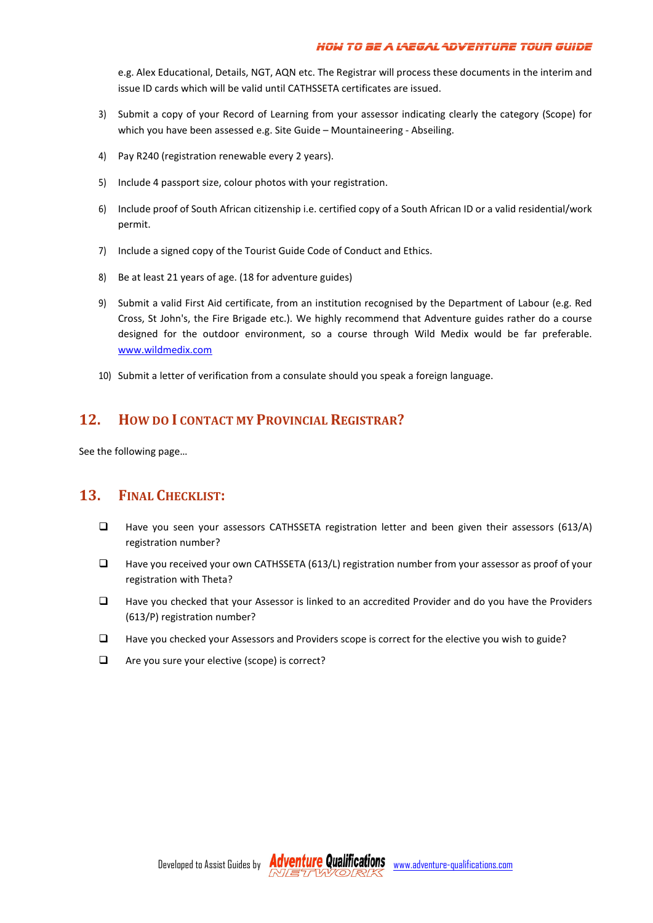#### How to be a Legal Adventure Tour Guide

e.g. Alex Educational, Details, NGT, AQN etc. The Registrar will process these documents in the interim and issue ID cards which will be valid until CATHSSETA certificates are issued.

- 3) Submit a copy of your Record of Learning from your assessor indicating clearly the category (Scope) for which you have been assessed e.g. Site Guide – Mountaineering - Abseiling.
- 4) Pay R240 (registration renewable every 2 years).
- 5) Include 4 passport size, colour photos with your registration.
- 6) Include proof of South African citizenship i.e. certified copy of a South African ID or a valid residential/work permit.
- 7) Include a signed copy of the Tourist Guide Code of Conduct and Ethics.
- 8) Be at least 21 years of age. (18 for adventure guides)
- 9) Submit a valid First Aid certificate, from an institution recognised by the Department of Labour (e.g. Red Cross, St John's, the Fire Brigade etc.). We highly recommend that Adventure guides rather do a course designed for the outdoor environment, so a course through Wild Medix would be far preferable. www.wildmedix.com
- 10) Submit a letter of verification from a consulate should you speak a foreign language.

# **12. HOW DO I CONTACT MY PROVINCIAL REGISTRAR?**

See the following page…

# **13. FINAL CHECKLIST:**

- Have you seen your assessors CATHSSETA registration letter and been given their assessors (613/A) registration number?
- $\Box$  Have you received your own CATHSSETA (613/L) registration number from your assessor as proof of your registration with Theta?
- □ Have you checked that your Assessor is linked to an accredited Provider and do you have the Providers (613/P) registration number?
- Have you checked your Assessors and Providers scope is correct for the elective you wish to guide?
- $\Box$  Are you sure your elective (scope) is correct?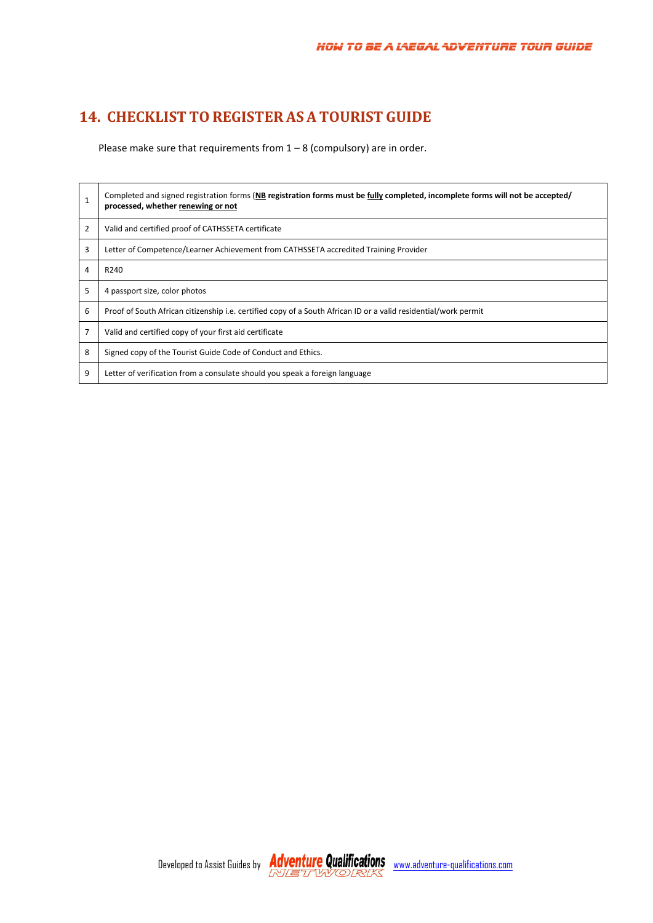# **14. CHECKLIST TOREGISTER AS A TOURIST GUIDE**

Please make sure that requirements from  $1 - 8$  (compulsory) are in order.

| $\mathbf{1}$   | Completed and signed registration forms (NB registration forms must be fully completed, incomplete forms will not be accepted/<br>processed, whether renewing or not |
|----------------|----------------------------------------------------------------------------------------------------------------------------------------------------------------------|
| $\overline{2}$ | Valid and certified proof of CATHSSETA certificate                                                                                                                   |
| 3              | Letter of Competence/Learner Achievement from CATHSSETA accredited Training Provider                                                                                 |
| 4              | R240                                                                                                                                                                 |
| 5              | 4 passport size, color photos                                                                                                                                        |
| 6              | Proof of South African citizenship i.e. certified copy of a South African ID or a valid residential/work permit                                                      |
| 7              | Valid and certified copy of your first aid certificate                                                                                                               |
| 8              | Signed copy of the Tourist Guide Code of Conduct and Ethics.                                                                                                         |
| 9              | Letter of verification from a consulate should you speak a foreign language                                                                                          |

Developed to Assist Guides by **Adventure Qualifications** [www.adventure-qualifications.com](http://www.adventure-qualifications.com/)